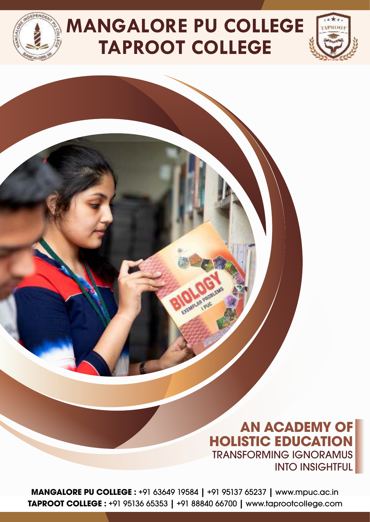

# **TAPROOT COLLEGE MANGALORE PU COLLEGE**



## TRANSFORMING IGNORAMUS INTO INSIGHTFUL **AN ACADEMY OF HOLISTIC EDUCATION**

**MANGALORE PU COLLEGE :** +91 63649 19584 **|** +91 95137 65237 **|** www.mpuc.ac.in **TAPROOT COLLEGE :** +91 95136 65353 **|** +91 88840 66700 **|** www.taprootcollege.com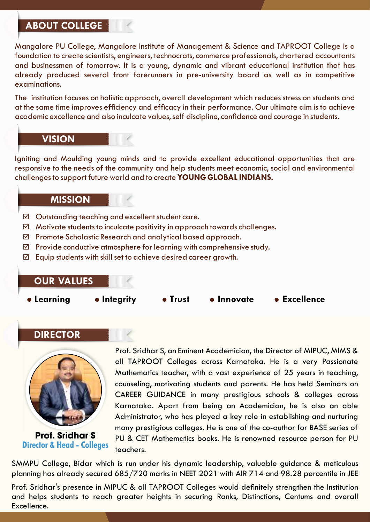## **ABOUT COLLEGE**

Mangalore PU College, Mangalore Institute of Management & Science and TAPROOT College is a foundation to create scientists, engineers, technocrats, commerce professionals, chartered accountants and businessmen of tomorrow. It is a young, dynamic and vibrant educational institution that has already produced several front forerunners in pre-university board as well as in competitive examinations.

The institution focuses on holistic approach, overall development which reduces stress on students and at the same time improves efficiency and efficacy in their performance. Our ultimate aim is to achieve academic excellence and also inculcate values, self discipline, confidence and courage in students.

#### **VISION**

Igniting and Moulding young minds and to provide excellent educational opportunities that are responsive to the needs of the community and help students meet economic, social and environmental challenges to support future world and to create **YOUNG GLOBAL INDIANS.**

#### **MISSION**

- Outstanding teaching and excellent student care.
- $\boxtimes$  Motivate students to inculcate positivity in approach towards challenges.
- Promote Scholastic Research and analytical based approach.
- $\boxtimes$  Provide conductive atmosphere for learning with comprehensive study.
- $\boxtimes$  Equip students with skill set to achieve desired career growth.

#### **OUR VALUES**

- 
- **Constructed Exercise Industance Innovate**

**Excellence**

#### **DIRECTOR**



**Prof. Sridhar S Director & Head - Colleges**

Prof. Sridhar S, an Eminent Academician, the Director of MIPUC, MIMS & all TAPROOT Colleges across Karnataka. He is a very Passionate Mathematics teacher, with a vast experience of 25 years in teaching, counseling, motivating students and parents. He has held Seminars on CAREER GUIDANCE in many prestigious schools & colleges across Karnataka. Apart from being an Academician, he is also an able Administrator, who has played a key role in establishing and nurturing many prestigious colleges. He is one of the co-author for BASE series of PU & CET Mathematics books. He is renowned resource person for PU teachers.

SMMPU College, Bidar which is run under his dynamic leadership, valuable guidance & meticulous planning has already secured 685/720 marks in NEET 2021 with AIR 714 and 98.28 percentile in JEE

Prof. Sridhar's presence in MIPUC & all TAPROOT Colleges would definitely strengthen the Institution and helps students to reach greater heights in securing Ranks, Distinctions, Centums and overall Excellence.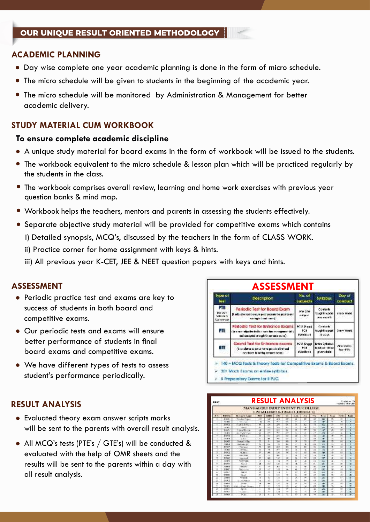#### **ACADEMIC PLANNING**

- Day wise complete one year academic planning is done in the form of micro schedule.
- The micro schedule will be given to students in the beginning of the academic year.
- The micro schedule will be monitored by Administration & Management for better academic delivery.

#### **STUDY MATERIAL CUM WORKBOOK**

#### **To ensure complete academic discipline**

- A unique study material for board exams in the form of workbook will be issued to the students.
- The workbook equivalent to the micro schedule & lesson plan which will be practiced regularly by the students in the class.
- The workbook comprises overall review, learning and home work exercises with previous year question banks & mind map.
- Workbook helps the teachers, mentors and parents in assessing the students effectively.
- Separate objective study material will be provided for competitive exams which contains

i) Detailed synopsis, MCQ's, discussed by the teachers in the form of CLASS WORK.

ii) Practice corner for home assignment with keys & hints.

iii) All previous year K-CET, JEE & NEET question papers with keys and hints.

#### **ASSESSMENT**

- Periodic practice test and exams are key to success of students in both board and competitive exams.
- Our periodic tests and exams will ensure better performance of students in final board exams and competitive exams.
- We have different types of tests to assess student's performance periodically.

#### **RESULT ANALYSIS**

- Evaluated theory exam answer scripts marks will be sent to the parents with overall result analysis.
- All MCQ's tests (PTE's / GTE's) will be conducted & evaluated with the help of OMR sheets and the results will be sent to the parents within a day with all result analysis.

| Ivoe of<br><b>Tust</b>                                   | <b>Description</b>                                                                                                               | No. of<br>suzwela                                    | <b>Sylbout</b>                               | Day of<br>conduct                                      |  |
|----------------------------------------------------------|----------------------------------------------------------------------------------------------------------------------------------|------------------------------------------------------|----------------------------------------------|--------------------------------------------------------|--|
| m<br>Bizt Sony<br><b>Ledestone A</b><br><b>Carrieron</b> | Feriodic Test for Board Exam<br>(4) millioning referred to see you good percent and provide a life. All<br>saying in local many. |                                                      | Contents<br>Laginin post<br><b>Barbarath</b> | 1705 7604                                              |  |
| нπ                                                       | Periodic Test for Entrance Exams<br>algo the test to a sum that in magnesial diffu-<br>(and considerably formulate home paid has | <b>BCM Presid</b><br>利己值<br><b>Park Board</b>        | Contacts<br>to aghlin post<br><b>Brainfi</b> | Control Water                                          |  |
| ůТ                                                       | Grond Test for Entrance excers.<br>A consistence of participate to provide a limitized<br>retailents in writing collects consist | <b>PCM Singer</b><br>PCR.<br><b><i>Pledice L</i></b> | <b>Minimal Systems</b><br>diven dale         | All a Sevent<br>$P_{\text{VZ}} \cdot \mathbb{P}^{n+1}$ |  |

- 5 Preparatory Exams for E PUC

| <b>HEAT</b>     |                                                                           | RESULT ANALYSIS                  |                            |                          |               |                          |                |                     |               |               |               | <b>Contractor</b><br>120921-007-00 |               |  |  |
|-----------------|---------------------------------------------------------------------------|----------------------------------|----------------------------|--------------------------|---------------|--------------------------|----------------|---------------------|---------------|---------------|---------------|------------------------------------|---------------|--|--|
|                 | MANGALORI INDIPINDINT PU COLLIGI.<br><b>LOUNGEROOUT MERMILE BIRDEN 31</b> |                                  |                            |                          |               |                          |                |                     |               |               |               |                                    |               |  |  |
| 強な              | <b>But Ma</b>                                                             | w.<br>sheet's 70 percent         | $\blacksquare$<br>٠        | <b>DIRM</b>              | BG.           | ×.                       | s              | $\blacksquare$<br>A | We            | 7.44          | Polyer        | <b>ECTIV</b>                       | <b>Rank</b>   |  |  |
|                 | <b>START</b>                                                              | <b>Chin, Jose</b><br><b>CENT</b> | ×                          | ы                        | ه د           | к                        | 20             |                     |               | œ             | a.            | $\overline{\phantom{a}}$           |               |  |  |
|                 | <b>TO BRU</b>                                                             | m.e.<br>w                        | ٠                          | m.                       | A.            | 8.8                      | ٠              | ×                   | a.            | <b>COMP</b>   | $\rightarrow$ | ٠                                  | $\rightarrow$ |  |  |
|                 | ≂                                                                         | TURNS FIRE                       | ┰                          | īκ                       |               | ℡                        | ×              | п                   |               | u             |               | н                                  | $\sim$        |  |  |
|                 | $\sim$ 100                                                                | <b>Solution</b>                  |                            | $\mathbf{r}$             | <b>N/S</b>    | $n -$                    | ×.             | ٠                   | ÷             | <b>First</b>  | sin           | ٠                                  | ٠             |  |  |
|                 | --                                                                        | <b>Line of B</b><br>18           | ÷                          |                          |               | u                        | ×              |                     | 54            |               | ⋥             |                                    |               |  |  |
|                 | 日用た                                                                       | as of Mile<br>÷<br>w             | <b>N</b>                   | $\overline{r}$           | ×.            | $\mathbf{r}$             | v              | $\overline{a}$      | $-8$          | <b>in</b>     | ×             | ٠                                  |               |  |  |
|                 | van i                                                                     | Ford A                           |                            |                          |               |                          | Χ              |                     |               |               |               | н                                  | ٠             |  |  |
|                 |                                                                           | 125                              | $\mathbf{R}_{\mathcal{A}}$ | $\blacksquare$           | $\sim$        | $\mathbf{r}$             | m              | ×                   | 11            | œ             | ٠             | ×                                  |               |  |  |
|                 | ्चा                                                                       | <b>Social Links</b>              | v                          | ۰                        |               | n                        | a              | ÷                   |               | œ             | ٠             | ü                                  | ۰             |  |  |
|                 | 1006.2                                                                    | <b>William</b> Rt                | m.                         | ka.                      | <b>Kill</b>   | $\sim$                   | $\sim$         | $\overline{a}$      | 11            | <b>WIN</b>    | $\mathcal{L}$ | ٠                                  | ۰             |  |  |
|                 | <b>KULIN</b>                                                              | <b>William</b>                   | w                          | u                        | ₩<br>٠        | w.                       | g              | w                   | x             | œ             | w             | 깗<br>                              |               |  |  |
|                 | <b>CALLER</b>                                                             | <b>CONTRACT</b>                  | 88                         | <b>IK</b>                | $\sim$        | <b>MOV</b>               | $\alpha$       |                     | A1            | w             | <b>ALL</b>    | $\overline{a}$                     | ٠             |  |  |
| .,              | 92                                                                        | of deca                          | ٧ł                         | e                        | υ             | w                        | ×.             | я                   | <b>ALL</b>    | TE.           | ۵             | 7ł                                 | w<br>s        |  |  |
| ٠               | <b>COMMERCE</b>                                                           | <b>DELY WAY</b>                  | z                          | <b>COL</b>               | $\sim$        |                          | $\overline{a}$ | $\sim$              | $\sim$        | $\mathbf{r}$  | w             | $\mathbf{r}$                       | 11            |  |  |
| v               | <b>FIGUR</b>                                                              | keise (mod)                      | w                          | w                        | YØ            | w                        | Ń              | w<br>и              | $\mathbf{x}$  | œ             | ×             | Ħ                                  |               |  |  |
| u<br>÷          | All for a                                                                 | <b><i><u>ASSERDED</u></i></b>    | u                          | w                        | 14            | $\overline{\phantom{a}}$ | $\sim$         | ٠                   | $-14$         | <b>July 1</b> | ٠             | ×                                  | ٠             |  |  |
| w               | <b>Financi</b>                                                            | $V_{n,m}$                        | u                          | Y.                       | Yu            | ×                        | и              | c                   | ٠             | 16            | ٠             | w                                  |               |  |  |
| $\cdot$ $\cdot$ | ACABILITY AT                                                              | 120403-0                         | 51                         | <b>COM</b>               | ALL           | the                      | ù              | ÷                   | m.            | AB.           | ¥.            | <br>×                              | ٠             |  |  |
|                 | <b>TIME!</b>                                                              | <b>Marine Ford</b>               | $\mathbf{r}$               | ÷                        | 128           | c                        | ü              | н                   |               | œ             | w             | w                                  |               |  |  |
| ä,              | <b>LIGHT</b>                                                              | <b>VAR IS</b>                    | 13                         | $\equiv$                 | $\sim$ 1      | ×                        | ÷              | ÷                   | $_{\rm M}$    | æ             | ×             | m                                  | ÷             |  |  |
| $\cdots$        | <b>Insures</b>                                                            | <b>Book</b>                      | <b>Y1</b>                  | ×                        | Free          | $\mathbf{u}$             | ٠              | -                   | $\lambda$     | œ             | w.            | ٠                                  |               |  |  |
| $^{4+}$         | <b>LIMINARY</b>                                                           | <b>Paradox</b>                   | ×                          | ×                        | 1,18          | $\equiv$                 | s              | m                   | $\frac{1}{2}$ | an.           | $\sim$        | $\mathbb{R}^n$                     | ٠             |  |  |
| $\cdots$        | tuart                                                                     | <b>All America</b>               | ٠                          | <b>VI</b>                | $+11$         | $\overline{a}$           | ×              | t.                  | $\sim$        | m             | ÷.            | ×                                  |               |  |  |
| $\rightarrow$   | <b>SIMMY</b>                                                              | <b>COMPANY</b>                   | $\blacksquare$             | $\overline{\phantom{a}}$ | $-100$        | ٠                        | ×              | ÷                   | ak.           | ىق            | ×             | <b>WE</b>                          | ٠             |  |  |
|                 | <b>NE</b>                                                                 | Al and Houses<br>A.              | $+ -$                      | $\sim$                   | $-1.08$       | $\sim$                   | ×              | u                   | 49            | t ps          | ÷.            | ×                                  |               |  |  |
| ×               | <b>LYME 1</b>                                                             | April 19                         |                            | ۰                        | 14            | m                        | ×.             |                     | m             | $-1$          | ×             | $\overline{1}$                     | ۰             |  |  |
| ×.              | <b>TUM</b>                                                                | ٠<br><b>Service</b>              |                            | $\sim$                   | $^{\circ}$ 14 | <b>COL</b>               | S.             |                     | -4            | FB.           | v.            | ×.                                 |               |  |  |
| ÷               | <b>Long A</b>                                                             | 8.26                             | 18                         | ٠                        | w             | u                        | æ              | $\sim$              | ÷             | and of        | x             | $^{11}$                            |               |  |  |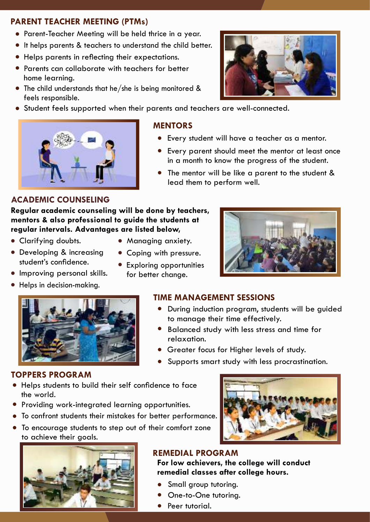#### **PARENT TEACHER MEETING (PTMs)**

- Parent-Teacher Meeting will be held thrice in a year.
- It helps parents & teachers to understand the child better.
- Helps parents in reflecting their expectations.
- Parents can collaborate with teachers for better home learning.
- The child understands that he/she is being monitored & feels responsible.
- Student feels supported when their parents and teachers are well-connected.



#### **MENTORS**

- Every student will have a teacher as a mentor.
- Every parent should meet the mentor at least once in a month to know the progress of the student.
- The mentor will be like a parent to the student & lead them to perform well.

### **ACADEMIC COUNSELING**

**Regular academic counseling will be done by teachers, mentors & also professional to guide the students at regular intervals. Advantages are listed below,**

- Clarifying doubts.
- Developing & increasing Coping with pressure. student's confidence.
- **•** Improving personal skills.
- Helps in decision-making.



#### **• Managing anxiety.**

- 
- Exploring opportunities for better change.

## **TIME MANAGEMENT SESSIONS**

- During induction program, students will be guided to manage their time effectively.
- Balanced study with less stress and time for relaxation.
- Greater focus for Higher levels of study.
- Supports smart study with less procrastination.

#### **TOPPERS PROGRAM**

- Helps students to build their self confidence to face the world.
- Providing work-integrated learning opportunities.
- To confront students their mistakes for better performance.
- To encourage students to step out of their comfort zone to achieve their goals.





#### **REMEDIAL PROGRAM**

**For low achievers, the college will conduct remedial classes after college hours.**

- Small group tutoring.
- One-to-One tutoring.
- Peer tutorial.

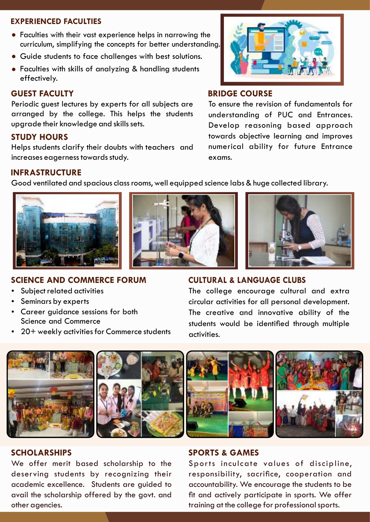#### **EXPERIENCED FACULTIES**

- Faculties with their vast experience helps in narrowing the curriculum, simplifying the concepts for better understanding.
- Guide students to face challenges with best solutions.
- Faculties with skills of analyzing & handling students effectively.

### **GUEST FACULTY**

Periodic guest lectures by experts for all subjects are arranged by the college. This helps the students upgrade their knowledge and skills sets.

### **STUDY HOURS**

Helps students clarify their doubts with teachers and increases eagerness towards study.

### **INFRASTRUCTURE**

Good ventilated and spacious class rooms, well equipped science labs & huge collected library.

### **SCIENCE AND COMMERCE FORUM CULTURAL & LANGUAGE CLUBS**

- Subject related activities
- Seminars by experts
- Career guidance sessions for both Science and Commerce
- 20+ weekly activities for Commerce students

The college encourage cultural and extra

circular activities for all personal development. The creative and innovative ability of the students would be identified through multiple activities.



#### **SCHOLARSHIPS**

We offer merit based scholarship to the deserving students by recognizing their academic excellence. Students are guided to avail the scholarship offered by the govt. and other agencies.

#### **SPORTS & GAMES**

Sports inculcate values of discipline, responsibility, sacrifice, cooperation and accountability. We encourage the students to be fit and actively participate in sports. We offer training at the college for professional sports.



#### **BRIDGE COURSE**

To ensure the revision of fundamentals for understanding of PUC and Entrances. Develop reasoning based approach towards objective learning and improves numerical ability for future Entrance exams.





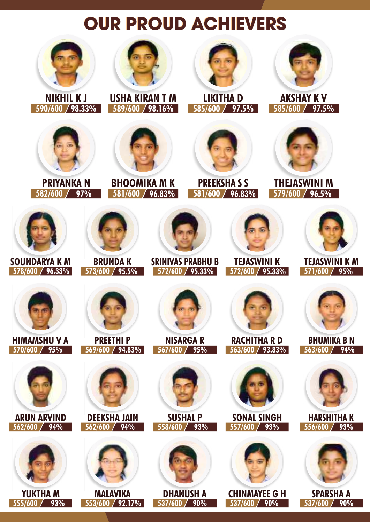# **OUR PROUD ACHIEVERS**



**NIKHIL K J 590/600 98.33%**



**PRIYANKA N 582/600 97%**



**589/600 98.16%**



**BHOOMIKA M K 581/600 96.83%**



**LIKITHA D 585/600 97.5%**



**PREEKSHA S S 581/600 96.83%**



**AKSHAY K V 585/600 97.5%**



**THEJASWINI M 579/600 96.5%**



**SOUNDARYA K M 578/600 96.33%**



**BRUNDA K 573/600 95.5%**



**SRINIVAS PRABHU B 572/600 95.33%**



**TEJASWINI K 572/600 95.33%**



**TEJASWINI K M 571/600 95%**



**RACHITHA R D 563/600 93.83%**





**HARSHITHA K 556/600 93%**





**HIMAMSHU V A 570/600 95%**



**ARUN ARVIND 562/600 94%**





**PREETHI P 569/600 94.83%**

**DEEKSHA JAIN 562/600 94%**



**MALAVIKA 553/600 92.17%**



**NISARGA R**

**SUSHAL P 558/600 93%**



**537/600 90%**



**SONAL SINGH 557/600 93%**

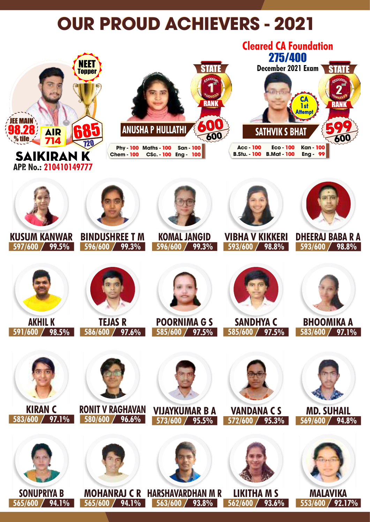# **OUR PROUD ACHIEVERS - 2021**